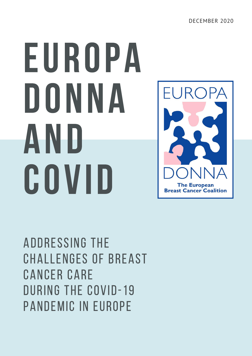# EUROPA DONNA AND COVID



Addressing the Challenges of Breast Cancer Care During the COVID-19 Pandemic in Europe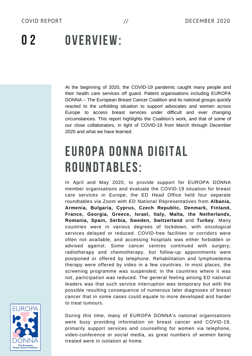### OVERVIEW:  $\mathbf{0}$  2

At the beginning of 2020, the COVID-19 pandemic caught many people and their health care services off guard. Patient organisations including EUROPA DONNA – The European Breast Cancer Coalition and its national groups quickly reacted to the unfolding situation to support advocates and women across Europe to access breast services under difficult and ever changing circumstances. This report highlights the Coalition's work, and that of some of our close collaborators, in light of COVID-19 from March through December 2020 and what we have learned.

## EUROPA DONNA DIGITAL ROUNDTABLES:

In April and May 2020, to provide support for EUROPA DONNA member organisations and evaluate the COVID-19 situation for breast care services in Europe, the ED Head Office held four separate roundtables via Zoom with ED National Representatives from **Albania, Armenia, Bulgaria, Cyprus, Czech Republic, Denmark, Finland, France, Georgia, Greece, Israel, Italy, Malta, the Netherlands, Romania, Spain, Serbia, Sweden, Switzerland** and **Turkey**. Many countries were in various degrees of lockdown, with oncological services delayed or reduced. COVID-free facilities or corridors were often not available, and accessing hospitals was either forbidden or advised against. Some cancer centres continued with surgery, radiotherapy and chemotherapy, but follow-up appointments were postponed or offered by telephone. Rehabilitation and lymphoedema therapy were offered by video in a few countries. In most places, the screening programme was suspended; in the countries where it was not, participation was reduced. The general feeling among ED national leaders was that such service interruption was temporary but with the possible resulting consequence of numerous later diagnoses of breast cancer that in some cases could equate to more developed and harder to treat tumours.



During this time, many of EUROPA DONNA's national organisations were busy providing information on breast cancer and COVID-19, primarily support services and counselling for women via telephone, video-conference or social media, as great numbers of women being treated were in isolation at home.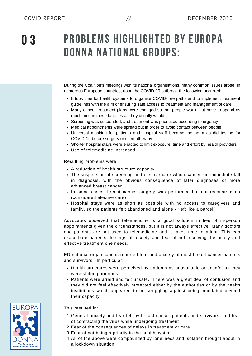0 3

## PROBLEMS HIGHLIGHTED BY EUROPA DONNA NATIONAL GROUPS:

During the Coalition's meetings with its national organisations, many common issues arose. In numerous European countries, upon the COVID-19 outbreak the following occurred:

- It took time for health systems to organize COVID-free paths and to implement treatment guidelines with the aim of ensuring safe access to treatment and management of care
- Many cancer treatment plans were changed so that people would not have to spend as much time in these facilities as they usually would
- Screening was suspended, and treatment was prioritized according to urgency
- Medical appointments were spread out in order to avoid contact between people
- Universal masking for patients and hospital staff became the norm as did testing for COVID-19 before surgery or chemotherapy
- Shorter hospital stays were enacted to limit exposure, time and effort by health providers
- Use of telemedicine increased

Resulting problems were:

- A reduction of health structure capacity
- The suspension of screening and elective care which caused an immediate fall in diagnosis, with the obvious consequence of later diagnoses of more advanced breast cancer
- In some cases, breast cancer surgery was performed but not reconstruction (considered elective care)
- Hospital stays were as short as possible with no access to caregivers and family, so the patients felt abandoned and alone - "left like a parcel"

Advocates observed that telemedicine is a good solution in lieu of in-person appointments given the circumstances, but it is not always effective. Many doctors and patients are not used to telemedicine and it takes time to adapt. This can exacerbate patients' feelings of anxiety and fear of not receiving the timely and effective treatment one needs.

ED national organisations reported fear and anxiety of most breast cancer patients and survivors. In particular:

- Health structures were perceived by patients as unavailable or unsafe, as they were shifting priorities
- Patients were afraid and felt unsafe. There was a great deal of confusion and they did not feel effectively protected either by the authorities or by the health institutions which appeared to be struggling against being inundated beyond their capacity

This resulted in:

- 1. General anxiety and fear felt by breast cancer patients and survivors, and fear of contracting the virus while undergoing treatment
- 2. Fear of the consequences of delays in treatment or care
- 3. Fear of not being a priority in the health system
- All of the above were compounded by loneliness and isolation brought about in 4. a lockdown situation

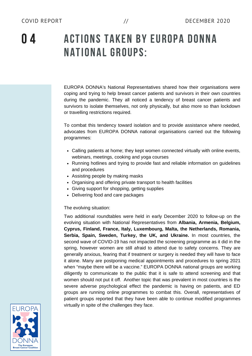0 4

## ACTIONS TAKEN BY EUROPA DONNA NATIONAL GROUPS:

EUROPA DONNA's National Representatives shared how their organisations were coping and trying to help breast cancer patients and survivors in their own countries during the pandemic. They all noticed a tendency of breast cancer patients and survivors to isolate themselves, not only physically, but also more so than lockdown or travelling restrictions required.

To combat this tendency toward isolation and to provide assistance where needed, advocates from EUROPA DONNA national organisations carried out the following programmes:

- Calling patients at home; they kept women connected virtually with online events, webinars, meetings, cooking and yoga courses
- Running hotlines and trying to provide fast and reliable information on guidelines and procedures
- Assisting people by making masks
- Organising and offering private transport to health facilities
- Giving support for shopping, getting supplies
- Delivering food and care packages

#### The evolving situation:

Two additional roundtables were held in early December 2020 to follow-up on the evolving situation with National Representatives from **Albania, Armenia, Belgium, Cyprus, Finland, France, Italy, Luxembourg, Malta, the Netherlands, Romania, Serbia, Spain, Sweden, Turkey, the UK, and Ukraine.** In most countries, the second wave of COVID-19 has not impacted the screening programme as it did in the spring, however women are still afraid to attend due to safety concerns. They are generally anxious, fearing that if treatment or surgery is needed they will have to face it alone. Many are postponing medical appointments and procedures to spring 2021 when "maybe there will be a vaccine." EUROPA DONNA national groups are working diligently to communicate to the public that it is safe to attend screening and that women should not put it off. Another topic that was prevalent in most countries is the severe adverse psychological effect the pandemic is having on patients, and ED groups are running online programmes to combat this. Overall, representatives of patient groups reported that they have been able to continue modified programmes virtually in spite of the challenges they face.

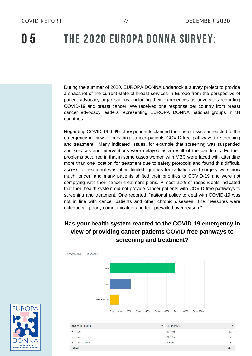## 0 5 THE 2020 EUROPA DONNA SURVEY:

During the summer of 2020, EUROPA DONNA undertook a survey project to provide a snapshot of the current state of breast services in Europe from the perspective of patient advocacy organisations, including their experiences as advocates regarding COVID-19 and breast cancer. We received one response per country from breast cancer advocacy leaders representing EUROPA DONNA national groups in 34 countries.

Regarding COVID-19, 69% of respondents claimed their health system reacted to the emergency in view of providing cancer patients COVID-free pathways to screening and treatment. Many indicated issues, for example that screening was suspended and services and interventions were delayed as a result of the pandemic. Further, problems occurred in that in some cases women with MBC were faced with attending more than one location for treatment due to safety protocols and found this difficult, access to treatment was often limited, queues for radiation and surgery were now much longer, and many patients shifted their priorities to COVID-19 and were not complying with their cancer treatment plans. Almost 22% of respondents indicated that their health system did not provide cancer patients with COVID-free pathways to screening and treatment. One reported: "national policy to deal with COVID-19 was not in line with cancer patients and other chronic diseases. The measures were categorical, poorly communicated, and fear prevailed over reason."

#### **Has your health system reacted to the COVID-19 emergency in view of providing cancer patients COVID-free pathways to screening and treatment?**





| <b>ANSWER CHOICES</b>                  | <b>RESPONSES</b><br>▼ |         |
|----------------------------------------|-----------------------|---------|
| Yes<br>$\overline{\phantom{a}}$        | 68,75%                | $^{22}$ |
| No<br>$\checkmark$                     | 21.88%                | -       |
| $\overline{\phantom{0}}$<br>Don't Know | 9.38%                 |         |
| <b>CONTRACTOR</b><br><b>TOTAL</b>      |                       | 32      |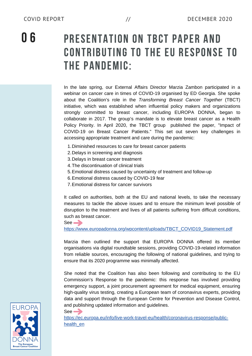## PRESENTATION ON TBCT PAPER AND CONTRIBUTING TO THE EU RESPONSE TO THE PANDEMIC:

In the late spring, our External Affairs Director Marzia Zambon participated in a webinar on cancer care in times of COVID-19 organised by ED Georgia. She spoke about the Coalition's role in the *Transforming Breast Cancer Together* (TBCT) initiative, which was established when influential policy makers and organizations strongly committed to breast cancer, including EUROPA DONNA, began to collaborate in 2017. The group's mandate is to elevate breast cancer as a Health Policy Priority. In April 2020, the TBCT group published the paper, "Impact of COVID-19 on Breast Cancer Patients." This set out seven key challenges in accessing appropriate treatment and care during the pandemic:

- 1. Diminished resources to care for breast cancer patients
- 2. Delays in screening and diagnosis
- 3. Delays in breast cancer treatment
- The discontinuation of clinical trials 4.
- Emotional distress caused by uncertainty of treatment and follow-up 5.
- Emotional distress caused by COVID-19 fear 6.
- Emotional distress for cancer survivors 7.

It called on authorities, both at the EU and national levels, to take the necessary measures to tackle the above issues and to ensure the minimum level possible of disruption to the treatment and lives of all patients suffering from difficult conditions, such as breast cancer.

 $See  $\rightarrow$$ 

See  $\rightarrow$ 

[https://www.europadonna.org/wpcontent/uploads/TBCT\\_COVID19\\_Statement.pd](https://www.europadonna.org/wp-content/uploads/TBCT_COVID19_Statement.pdf)[f](https://www.europadonna.org/wpcontent/uploads/TBCT_COVID19_Statement.pdf)

Marzia then outlined the support that EUROPA DONNA offered its member organisations via digital roundtable sessions, providing COVID-19-related information from reliable sources, encouraging the following of national guidelines, and trying to ensure that its 2020 programme was minimally affected.

She noted that the Coalition has also been following and contributing to the EU Commission's Response to the pandemic: this response has involved providing emergency support, a joint procurement agreement for medical equipment, ensuring high-quality virus testing, creating a European team of coronavirus experts, providing data and support through the European Centre for Prevention and Disease Control, and publishing updated information and guidelines.



[https://ec.europa.eu/info/live-work-travel-eu/health/coronavirus-response/public](https://ec.europa.eu/info/live-work-travel-eu/health/coronavirus-response/public-health_en)health\_en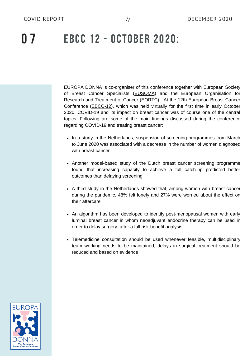## 0 7 EBCC 12 - OCTOBER 2020:

EUROPA DONNA is co-organiser of this conference together with European Society of Breast Cancer Specialists ([EUSOMA\)](https://www.eusoma.org/) and the European Organisation for Research and Treatment of Cancer [\(EORTC\)](https://www.eortc.org/). At the 12th European Breast Cancer Conference ([EBCC-12\)](https://conferences.eortc.org/ebcc12/), which was held virtually for the first time in early October 2020, COVID-19 and its impact on breast cancer was of course one of the central topics. Following are some of the main findings discussed during the conference regarding COVID-19 and treating breast cancer:

- In a study in the Netherlands, suspension of screening programmes from March to June 2020 was associated with a decrease in the number of women diagnosed with breast cancer
- Another model-based study of the Dutch breast cancer screening programme found that increasing capacity to achieve a full catch-up predicted better outcomes than delaying screening
- A third study in the Netherlands showed that, among women with breast cancer during the pandemic, 48% felt lonely and 27% were worried about the effect on their aftercare
- An algorithm has been developed to identify post-menopausal women with early luminal breast cancer in whom neoadjuvant endocrine therapy can be used in order to delay surgery, after a full risk-benefit analysis
- Telemedicine consultation should be used whenever feasible, multidisciplinary team working needs to be maintained, delays in surgical treatment should be reduced and based on evidence

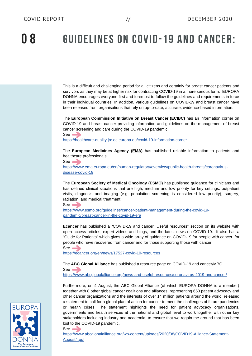0 8 GUIDELINES ON COVID-19 AND CANCER:

This is a difficult and challenging period for all citizens and certainly for breast cancer patients and survivors as they may be at higher risk for contracting COVID-19 in a more serious form. EUROPA DONNA encourages everyone first and foremost to follow the guidelines and requirements in force in their individual countries. In addition, various guidelines on COVID-19 and breast cancer have been released from organisations that rely on up-to-date, accurate, evidence-based information:

The **European Commission Initiative on Breast Cancer ([ECIBC](https://healthcare-quality.jrc.ec.europa.eu/))** has an information corner on COVID-19 and breast cancer providing information and guidelines on the management of breast cancer screening and care during the COVID-19 pandemic. See **by** 

<https://healthcare-quality.jrc.ec.europa.eu/covid-19-information-corner>

The **European Medicines Agency [\(EMA\)](https://www.ema.europa.eu/en)** has published reliable information to patients and healthcare professionals.

[https://www.ema.europa.eu/en/human-regulatory/overview/public-health-threats/coronavirus](https://www.ema.europa.eu/en/human-regulatory/overview/public-health-threats/coronavirus-disease-covid-19)disease-covid-19

The **European Society of Medical Oncology ([ESMO\)](https://www.esmo.org/)** has published guidance for clinicians and has defined clinical situations that are high, medium and low priority for key settings: outpatient visits, diagnosis and imaging (e.g. population screening is considered low priority), surgery, radiation, and medical treatment.

See <sub>2</sub> [https://www.esmo.org/guidelines/cancer-patient-management-during-the-covid-19](https://www.esmo.org/guidelines/cancer-patient-management-during-the-covid-19-pandemic/breast-cancer-in-the-covid-19-era) pandemic/breast-cancer-in-the-covid-19-era

**[Ecancer](https://ecancer.org/en/)** has published a "COVID-19 and cancer: Useful resources" section on its website with open access articles, expert videos and blogs, and the latest news on COVID-19. It also has a "Guide for Patients" which gives a wide array of guidance on COVID-19 for people with cancer, for people who have recovered from cancer and for those supporting those with cancer.

See —

See **b** 

See **b** 

<https://ecancer.org/en/news/17527-covid-19-resources>

The **ABC Global Alliance** has published a resource page on COVID-19 and cancer/MBC.  $See \longrightarrow$ 

<https://www.abcglobalalliance.org/news-and-useful-resources/coronavirus-2019-and-cancer/>

Furthermore, on 4 August, the ABC Global Alliance (of which EUROPA DONNA is a member) together with 8 other global cancer coalitions and alliances, representing 650 patient advocacy and other cancer organizations and the interests of over 14 million patients around the world, released a statement to call for a global plan of action for cancer to meet the challenges of future pandemics or health crises. The statement highlights the need for patient advocacy organizations, governments and health services at the national and global level to work together with other key stakeholders including industry and academia, to ensure that we regain the ground that has been lost to the COVID-19 pandemic.

[https://www.abcglobalalliance.org/wp-content/uploads/2020/08/COVID19-Alliance-Statement-](https://www.abcglobalalliance.org/wp-content/uploads/2020/08/COVID19-Alliance-Statement-August4.pdf)August4.pdf

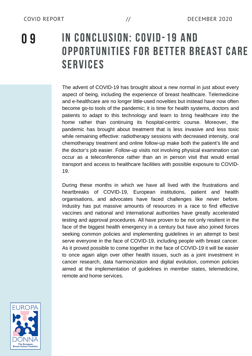## 0 9 IN CONCLUSION: COVID-19 AND OPPORTUNITIES FOR BETTER BREAST CARE SERVICES

The advent of COVID-19 has brought about a new normal in just about every aspect of being, including the experience of breast healthcare. Telemedicine and e-healthcare are no longer little-used novelties but instead have now often become go-to tools of the pandemic; it is time for health systems, doctors and patients to adapt to this technology and learn to bring healthcare into the home rather than continuing its hospital-centric course. Moreover, the pandemic has brought about treatment that is less invasive and less toxic while remaining effective: radiotherapy sessions with decreased intensity, oral chemotherapy treatment and online follow-up make both the patient's life and the doctor's job easier. Follow-up visits not involving physical examination can occur as a teleconference rather than an in person visit that would entail transport and access to healthcare facilities with possible exposure to COVID-19.

During these months in which we have all lived with the frustrations and heartbreaks of COVID-19, European institutions, patient and health organisations, and advocates have faced challenges like never before. Industry has put massive amounts of resources in a race to find effective vaccines and national and international authorities have greatly accelerated testing and approval procedures. All have proven to be not only resilient in the face of the biggest health emergency in a century but have also joined forces seeking common policies and implementing guidelines in an attempt to best serve everyone in the face of COVID-19, including people with breast cancer. As it proved possible to come together in the face of COVID-19 it will be easier to once again align over other health issues, such as a joint investment in cancer research, data harmonization and digital evolution, common policies aimed at the implementation of guidelines in member states, telemedicine, remote and home services.